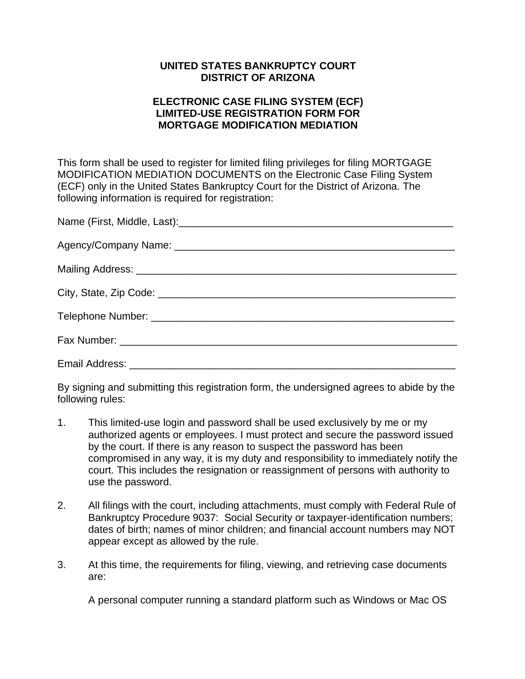## **UNITED STATES BANKRUPTCY COURT DISTRICT OF ARIZONA**

## **ELECTRONIC CASE FILING SYSTEM (ECF) LIMITED-USE REGISTRATION FORM FOR MORTGAGE MODIFICATION MEDIATION**

This form shall be used to register for limited filing privileges for filing MORTGAGE MODIFICATION MEDIATION DOCUMENTS on the Electronic Case Filing System (ECF) only in the United States Bankruptcy Court for the District of Arizona. The following information is required for registration:

By signing and submitting this registration form, the undersigned agrees to abide by the following rules:

- 1. This limited-use login and password shall be used exclusively by me or my authorized agents or employees. I must protect and secure the password issued by the court. If there is any reason to suspect the password has been compromised in any way, it is my duty and responsibility to immediately notify the court. This includes the resignation or reassignment of persons with authority to use the password.
- 2. All filings with the court, including attachments, must comply with Federal Rule of Bankruptcy Procedure 9037: Social Security or taxpayer-identification numbers; dates of birth; names of minor children; and financial account numbers may NOT appear except as allowed by the rule.
- 3. At this time, the requirements for filing, viewing, and retrieving case documents are:

A personal computer running a standard platform such as Windows or Mac OS